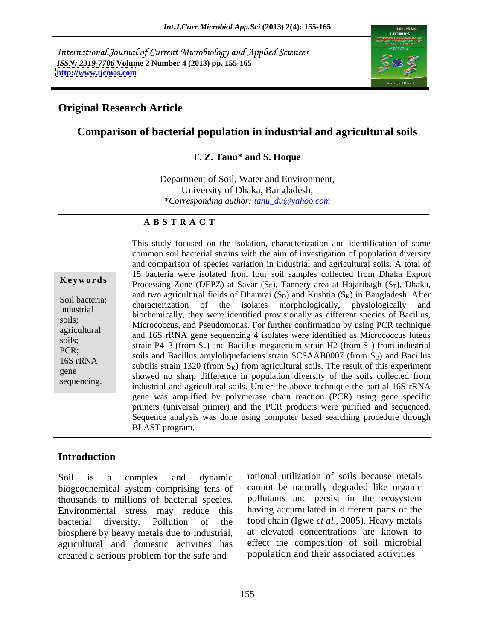International Journal of Current Microbiology and Applied Sciences *ISSN: 2319-7706* **Volume 2 Number 4 (2013) pp. 155-165 <http://www.ijcmas.com>**



### **Original Research Article**

### **Comparison of bacterial population in industrial and agricultural soils**

#### **F. Z. Tanu\* and S. Hoque**

Department of Soil, Water and Environment, University of Dhaka, Bangladesh, \**Corresponding author: tanu\_du@yahoo.com*

#### **A B S T R A C T**

**Keywords** Processing Zone (DEPZ) at Savar (S<sub>E</sub>), Tannery area at Hajaribagh (S<sub>T</sub>), Dhaka, Soil bacteria;<br>
characterization of the isolates morphologically, physiologically and<br>
characterization of the isolates morphologically, physiologically and industrial biochemically, they were identified provisionally as different species of Bacillus, soils;<br>Micrococcus, and Pseudomonas. For further confirmation by using PCR technique agricultural and 16S rRNA gene sequencing 4 isolates were identified as Micrococcus luteus soils;<br>
strain P4\_3 (from S<sub>E</sub>) and Bacillus megaterium strain H2 (from S<sub>T</sub>) from industrial PCR;<br>soils and Bacillus amyloliquefaciens strain SCSAAB0007 (from  $S_D$ ) and Bacillus<br>168 **PDMA** 16S rRNA<br>subtilis strain 1320 (from  $S_K$ ) from agricultural soils. The result of this experiment gene<br>
showed no sharp difference in population diversity of the soils collected from sequencing.<br>
industrial and agricultural soils. Under the above technique the partial 16S rRNA This study focused on the isolation, characterization and identification of some common soil bacterial strains with the aim of investigation of population diversity and comparison of species variation in industrial and agricultural soils. A total of 15 bacteria were isolated from four soil samples collected from Dhaka Export and two agricultural fields of Dhamrai  $(S_D)$  and Kushtia  $(S_K)$  in Bangladesh. After gene was amplified by polymerase chain reaction (PCR) using gene specific primers (universal primer) and the PCR products were purified and sequenced. Sequence analysis was done using computer based searching procedure through BLAST program.

#### **Introduction**

biogeochemical system comprising tens of cannot be naturally degraded like organic<br>thousands to millions of bacterial species pollutants and persist in the ecosystem thousands to millions of bacterial species. Environmental stress may reduce this bacterial diversity. Pollution of the food chain (Igwe *et al*., 2005). Heavy metals biosphere by heavy metals due to industrial, agricultural and domestic activities has created a serious problem for the safe and

Soil is a complex and dynamic rational utilization of soils because metals cannot be naturally degraded like organic pollutants and persist in the ecosystem having accumulated in different parts of the at elevated concentrations are known to effect the composition of soil microbial population and their associated activities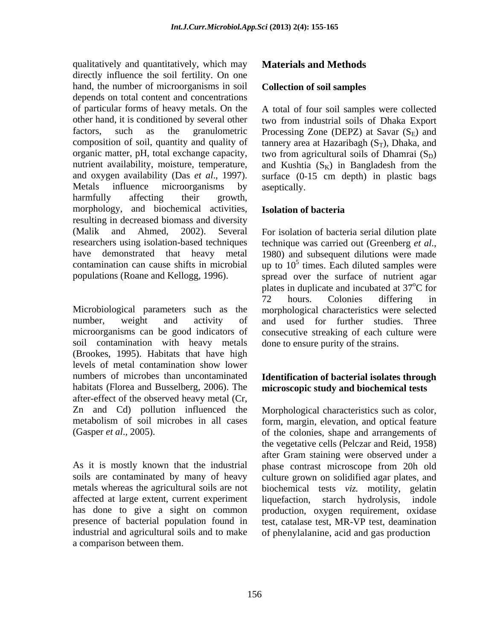qualitatively and quantitatively, which may directly influence the soil fertility. On one hand, the number of microorganisms in soil depends on total content and concentrations nutrient availability, moisture, temperature, and Kushtia  $(S_K)$  in Bangladesh from the harmfully affecting their growth, morphology, and biochemical activities, **Isolation of bacteria**<br>resulting in decreased biomass and diversity (Malik and Ahmed, 2002). Several For isolation of bacteria serial dilution plate researchers using isolation-based techniques technique was carried out (Greenberg et al., have demonstrated that heavy metal 1980) and subsequent dilutions were made contamination can cause shifts in microbial up to  $10^5$  times. Each diluted samples were

Microbiological parameters such as the morphological characteristics were selected number, weight and activity of and used for further studies. Three microorganisms can be good indicators of consecutive streaking of each culture were soil contamination with heavy metals (Brookes, 1995). Habitats that have high levels of metal contamination show lower numbers of microbes than uncontaminated **Identification of bacterial isolates through**  habitats (Florea and Busselberg, 2006). The after-effect of the observed heavy metal (Cr, Zn and Cd) pollution influenced the metabolism of soil microbes in all cases

affected at large extent, current experiment liquefaction, starch hydrolysis, indole industrial and agricultural soils and to make of phenylalanine, acid and gas productiona comparison between them.

#### **Materials and Methods**

#### **Collection of soil samples**

of particular forms of heavy metals. On the A total of four soil samples were collected other hand, it is conditioned by several other two from industrial soils of Dhaka Export factors, such as the granulometric Processing Zone (DEPZ) at Savar  $(S_E)$  and composition of soil, quantity and quality of tannery area at Hazaribagh  $(S_T)$ , Dhaka, and organic matter, pH, total exchange capacity, two from agricultural soils of Dhamrai  $(S_D)$ and oxygen availability (Das *et al.*, 1997). surface (0-15 cm depth) in plastic bags<br>Metals influence microorganisms by aseptically. and Kushtia  $(S_K)$  in Bangladesh from the surface (0-15 cm depth) in plastic bags aseptically.

#### **Isolation of bacteria**

populations (Roane and Kellogg, 1996). spread over the surface of nutrient agar technique was carried out (Greenberg *et al*., 1980) and subsequent dilutions were made plates in duplicate and incubated at 37 <sup>o</sup>C for 72 hours. Colonies differing in done to ensure purity of the strains.

# **microscopic study and biochemical tests**

(Gasper *et al.*, 2005). of the colonies, shape and arrangements of the vegetative cells (Pelczar and Reid, 1958)<br>after Gram staining were observed under a<br>As it is mostly known that the industrial phase contrast microscop soils are contaminated by many of heavy culture grown on solidified agar plates, and metals whereas the agricultural soils are not biochemical tests *viz.* motility, gelatin has done to give a sight on common production, oxygen requirement, oxidase presence of bacterial population found in test, catalase test, MR-VP test, deamination Morphological characteristics such as color, form, margin, elevation, and optical feature of the colonies, shape and arrangements of the vegetative cells (Pelczar and Reid, 1958) after Gram staining were observed under a phase contrast microscope from 20h old liquefaction, starch hydrolysis, indole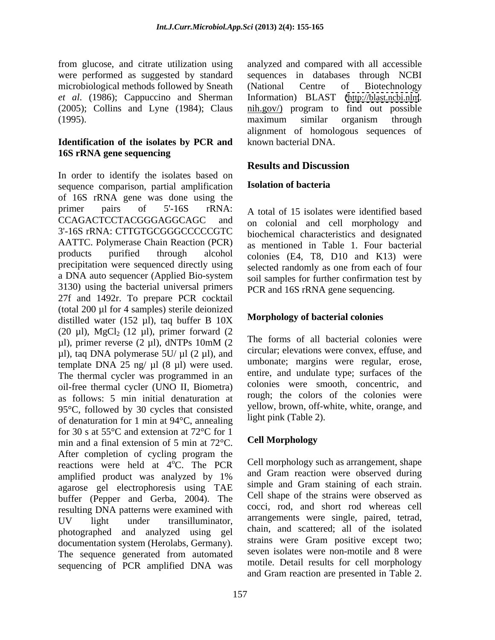microbiological methods followed by Sneath (National Centre of Biotechnology

### **Identification of the isolates by PCR and 16S rRNA gene sequencing**

In order to identify the isolates based on<br>sequence comparison partial amplification **Isolation of bacteria** sequence comparison, partial amplification of 16S rRNA gene was done using the primer pairs of 5'-16S rRNA: A total of 15 isolates were identified based CCAGACTCCTACGGGAGGCAGC and on colonial and cell morphology and 3'-16S rRNA: CTTGTGCGGGCCCCCGTC AATTC. Polymerase Chain Reaction (PCR) products purified through alcohol colonies (E4, T8, D10 and K13) were precipitation were sequenced directly using a DNA auto sequencer (Applied Bio-system 3130) using the bacterial universal primers 27f and 1492r. To prepare PCR cocktail (total 200 µl for 4 samples) sterile deionized distilled water (152  $\mu$ l), taq buffer B 10X (20  $\mu$ l), MgCl<sub>2</sub> (12  $\mu$ l), primer forward (2  $\mu$ l), primer reverse (2  $\mu$ l), dNTPs 10mM (2  $\mu$  1 ne forms of all bacterial colonies were  $\mu$ l), taq DNA polymerase 5U/ $\mu$ l (2  $\mu$ l), and template DNA 25 ng/ $\mu$ l (8  $\mu$ l) were used. The thermal cycler was programmed in an oil-free thermal cycler (UNO II, Biometra) as follows: 5 min initial denaturation at 95°C, followed by 30 cycles that consisted of denaturation for 1 min at 94°C, annealing for 30 s at 55 $\degree$ C and extension at 72 $\degree$ C for 1<br>min and a final extension of 5 min at 72 $\degree$ C Cell Morphology min and a final extension of 5 min at 72°C. After completion of cycling program the reactions were held at 4°C. The PCR amplified product was analyzed by 1% and Gram reaction were observed during agarose gel electrophoresis using TAE buffer (Pepper and Gerba, 2004). The resulting DNA patterns were examined with UV light under transilluminator, arrangements were single, paired, tetrad, photographed and analyzed using gel documentation system (Herolabs, Germany). The sequence generated from automated sequencing of PCR amplified DNA was

from glucose, and citrate utilization using analyzed and compared with all accessible were performed as suggested by standard sequences in databases through NCBI *et al*. (1986); Cappuccino and Sherman Information) BLAST [\(http://blast.ncbi.nlm](http://blast.ncbi.nlm).  $(2005)$ ; Collins and Lyne  $(1984)$ ; Claus  $\frac{\text{nih.gov}}{2}$  program to find out possible (1995). (National Centre of Biotechnology maximum similar organism through alignment of homologous sequences of known bacterial DNA.

# **Results and Discussion**

# **Isolation of bacteria**

biochemical characteristics and designated as mentioned in Table 1. Four bacterial selected randomly as one from each of four soil samples for further confirmation test by PCR and 16S rRNA gene sequencing.

## **Morphology of bacterial colonies**

The forms of all bacterial colonies were circular; elevations were convex, effuse, and umbonate; margins were regular, erose, entire, and undulate type; surfaces of the colonies were smooth, concentric, and rough; the colors of the colonies were yellow, brown, off-white, white, orange, and light pink (Table 2).

# **Cell Morphology**

 $\rm^{\circ}C$ . The PCR Cell morphology such as arrangement, shape Cell morphology such as arrangement, shape and Gram reaction were observed during simple and Gram staining of each strain. Cell shape of the strains were observed as cocci, rod, and short rod whereas cell arrangements were single, paired, tetrad, chain, and scattered; all of the isolated strains were Gram positive except two; seven isolates were non-motile and 8 were motile. Detail results for cell morphology and Gram reaction are presented in Table 2.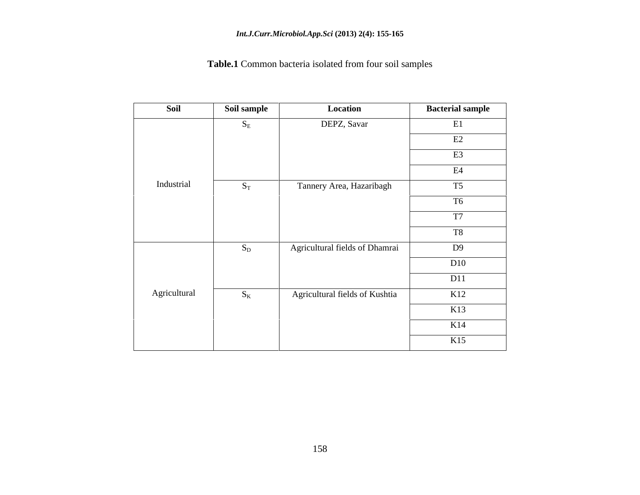#### *Int.J.Curr.Microbiol.App.Sci* **(2013) 2(4): 155-165**

# **Table.1** Common bacteria isolated from four soil samples

| Soil         | Soil sample | Location                       | <b>Bacterial sample</b> |
|--------------|-------------|--------------------------------|-------------------------|
|              | $S_{\rm E}$ | DEPZ, Savar                    | E1                      |
|              |             |                                | E2                      |
|              |             |                                | E <sub>3</sub>          |
|              |             |                                | E4                      |
| Industrial   | $S_T$       | Tannery Area, Hazaribagh       | T5                      |
|              |             |                                | T <sub>6</sub>          |
|              |             |                                | T7                      |
|              |             |                                | <b>T8</b>               |
|              | $S_D$       | Agricultural fields of Dhamrai | D9                      |
|              |             |                                | D10                     |
|              |             |                                | D11                     |
| Agricultural | $S_{K}$     | Agricultural fields of Kushtia | K12                     |
|              |             |                                | K13                     |
|              |             |                                | K14                     |
|              |             |                                | K15                     |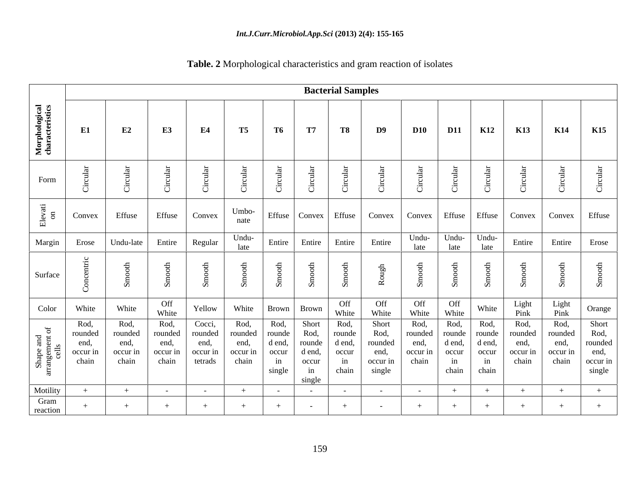|                                                                 |                                              |                                              |                                              |                                                  |                                              |                                                   |                                                            | <b>Bacterial Samples</b>                         |                                                        |                                              |                                                        |                                         |                                              |                                                                                         |                                                        |
|-----------------------------------------------------------------|----------------------------------------------|----------------------------------------------|----------------------------------------------|--------------------------------------------------|----------------------------------------------|---------------------------------------------------|------------------------------------------------------------|--------------------------------------------------|--------------------------------------------------------|----------------------------------------------|--------------------------------------------------------|-----------------------------------------|----------------------------------------------|-----------------------------------------------------------------------------------------|--------------------------------------------------------|
| Morphological<br>characteristics                                | E1                                           | E2                                           | E3                                           | E4                                               | <b>T5</b>                                    | <b>T6</b>                                         | <b>T7</b>                                                  | <b>T8</b>                                        | D9                                                     | <b>D10</b>                                   | <b>D11</b>                                             | <b>K12</b>                              | <b>K13</b>                                   | <b>K14</b>                                                                              | <b>K15</b>                                             |
| Form                                                            | Ü                                            | ◡                                            |                                              | ب                                                |                                              |                                                   |                                                            |                                                  |                                                        |                                              | $\cup$                                                 |                                         |                                              |                                                                                         |                                                        |
| $Eleva$ <sub>on</sub>                                           | Convex                                       | Effuse                                       | Effuse Convex                                |                                                  | Umbo-<br>nate                                |                                                   |                                                            |                                                  |                                                        |                                              |                                                        |                                         |                                              | Effuse   Convex   Effuse   Convex   Convex   Effuse   Effuse   Convex   Convex   Effuse |                                                        |
| Margin                                                          | Erose                                        | Undu-late                                    | Entire                                       | Regular                                          | Undu-<br>late                                | Entire                                            | Entire                                                     | Entire                                           | Entire                                                 | Undu-<br>late                                | late                                                   | Undu- Undu-<br>late                     | Entire                                       | Entire                                                                                  | Erose                                                  |
| Surface                                                         |                                              |                                              |                                              |                                                  |                                              |                                                   |                                                            |                                                  |                                                        |                                              |                                                        |                                         |                                              |                                                                                         |                                                        |
| Color                                                           | White                                        | White                                        | Off<br>White                                 | Yellow                                           | White                                        |                                                   | Brown Brown                                                | Off<br>White                                     | Off<br>White                                           | Off<br>White                                 | Off<br>White                                           | White                                   | Light<br>Pink                                | Light<br>Pink                                                                           | Orange                                                 |
| $\frac{1}{\pi}$ and<br>nent of<br>ls<br>Shape<br>rangem<br>call | Rod,<br>rounded<br>end,<br>occur in<br>chain | Rod,<br>rounded<br>end,<br>occur in<br>chain | Rod,<br>rounded<br>end,<br>occur in<br>chain | Cocci,<br>rounded<br>end,<br>occur in<br>tetrads | Rod,<br>rounded<br>end,<br>occur in<br>chain | Rod,<br>ounde:<br>d end,<br>occur<br>in<br>single | Short<br>Rod,<br>rounde<br>d end,<br>occur<br>in<br>single | Rod,<br>rounde<br>d end,<br>occur<br>in<br>chain | Short<br>Rod,<br>rounded<br>end,<br>occur in<br>single | Rod,<br>rounded<br>end,<br>occur in<br>chain | Rod,<br>rounde<br>d end,<br>occur<br>in<br>chain chain | Rod,<br>rounde<br>d end,<br>occur<br>in | Rod,<br>rounded<br>end,<br>occur in<br>chain | Rod,<br>rounded<br>end,<br>occur in<br>chain                                            | Short<br>Rod,<br>rounded<br>end,<br>occur in<br>single |
| Motility<br>Gram<br>reaction                                    | $+$                                          | $+$                                          | <b>Contract Contract</b>                     | $\sim$ $-$<br>$+$                                | $+$                                          | $\sim$ $ \sim$<br>$+$                             | $\sim 100$ m $^{-1}$<br>$\sim$                             | $\sim$<br>$+$                                    | $\sim$ $-$<br>$\sim$ $ \sim$                           | $\sim 100$<br>$+$                            | $+$<br>$+$                                             | $+$<br>$+$                              | $+$                                          | $+$<br>$+$                                                                              | $+$<br>$+$                                             |

**Table. 2** Morphological characteristics and gram reaction of isolates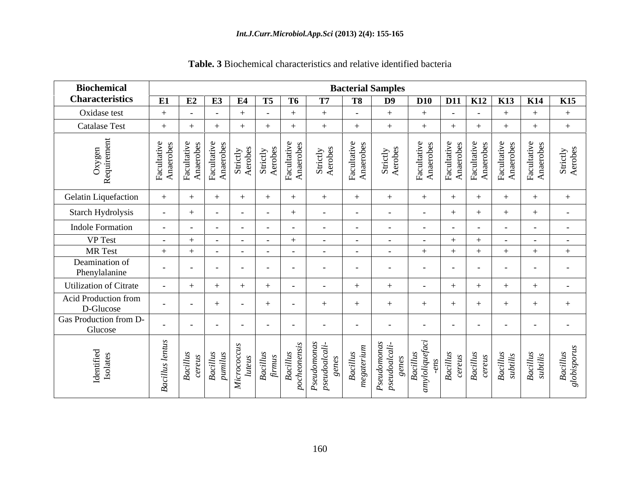| <b>Biochemical</b>                |                       |                      |                                 |                                                                                                    |                         |            | <b>Bacterial Samples</b>                                                                                                                                                                                                                                                                                                                                                                                                                                                                                                                        |                      |                                                                  |                                |                   |                                                                                                                                                                                                 |                                    |
|-----------------------------------|-----------------------|----------------------|---------------------------------|----------------------------------------------------------------------------------------------------|-------------------------|------------|-------------------------------------------------------------------------------------------------------------------------------------------------------------------------------------------------------------------------------------------------------------------------------------------------------------------------------------------------------------------------------------------------------------------------------------------------------------------------------------------------------------------------------------------------|----------------------|------------------------------------------------------------------|--------------------------------|-------------------|-------------------------------------------------------------------------------------------------------------------------------------------------------------------------------------------------|------------------------------------|
| <b>Characteristics</b>            |                       |                      |                                 | E1 E2 E3 E4 T5 T6                                                                                  |                         | <b>T7</b>  | T8                                                                                                                                                                                                                                                                                                                                                                                                                                                                                                                                              | D9                   |                                                                  |                                |                   | D10 D11 K12 K13 K14 K15                                                                                                                                                                         |                                    |
| Oxidase test                      |                       | $\sim$ $ \sim$       | $\sim$                          | $+$                                                                                                | $+$                     | $+$        |                                                                                                                                                                                                                                                                                                                                                                                                                                                                                                                                                 |                      | $+$                                                              |                                | $+$               | $+$                                                                                                                                                                                             | $+$                                |
| <b>Catalase Test</b>              |                       | $+$                  |                                 |                                                                                                    | $+$                     |            |                                                                                                                                                                                                                                                                                                                                                                                                                                                                                                                                                 |                      |                                                                  |                                |                   |                                                                                                                                                                                                 |                                    |
| O                                 | ധ ശ ∣<br>ு உ          | ယ် လ<br>크 응ㅣ<br>' ੜੋ |                                 | Facultative<br>Anaerobes<br>Anaerobes<br>Strictly<br>Strictly<br>Aerobes<br>Aerobes<br>Facultative |                         | 금 :<br>5 a | Tacul<br>Anae                                                                                                                                                                                                                                                                                                                                                                                                                                                                                                                                   |                      | tive<br>bes<br>$\frac{1}{\sqrt{\frac{4}{1}}\sqrt{\frac{4}{1}}}}$ | Facul<br>Anae<br>Facul<br>Anae | .ದ ಕೆ             | رب دو<br>ਦੇ ਕੁੱ<br>್ಷ ಕ                                                                                                                                                                         | ctly<br>bes<br>$\overline{Q} \leq$ |
| <b>Gelatin Liquefaction</b>       |                       | $+$                  | $+$                             | $+$                                                                                                | $+$<br>$+$              | $+$        |                                                                                                                                                                                                                                                                                                                                                                                                                                                                                                                                                 |                      | $+$                                                              |                                | $+$               | $+$                                                                                                                                                                                             |                                    |
| Starch Hydrolysis                 |                       |                      | $\sim$ $-$                      |                                                                                                    | $^{+}$<br>$\sim$        | $\sim$     |                                                                                                                                                                                                                                                                                                                                                                                                                                                                                                                                                 | $\sim$ $-$           | $\sim$ $ \sim$                                                   |                                | $+$               | $+$                                                                                                                                                                                             |                                    |
| <b>Indole Formation</b>           |                       | $\sim$ $-$           | $\sim$ $-$                      | $\sim$                                                                                             | $\sim$<br>$\sim$        | $\sim$     | $\sim$ $\sim$                                                                                                                                                                                                                                                                                                                                                                                                                                                                                                                                   | $\sim$ $-$           | $\sim$ $ \sim$                                                   |                                | $\sim$ 100 $\sim$ | $\sim$ $-$                                                                                                                                                                                      | $\sim$                             |
| <b>VP</b> Test                    |                       | $+$                  |                                 |                                                                                                    | $+$<br>$\sim$ 100 $\mu$ | $\sim$     | $\sim$ $\sim$                                                                                                                                                                                                                                                                                                                                                                                                                                                                                                                                   | $\sim$ $ \sim$       | $\sim$ $ \sim$                                                   |                                | $\sim$ $ \sim$    | $\sim$ $-$                                                                                                                                                                                      | $\sim$ $ \sim$                     |
| <b>MR</b> Test                    |                       | $+$                  |                                 |                                                                                                    | $\sim$<br>$\sim$        | $\sim$     | $\sim$                                                                                                                                                                                                                                                                                                                                                                                                                                                                                                                                          | $\sim$ $ \sim$       | $+$                                                              |                                | $+$               | $+$                                                                                                                                                                                             | $+$                                |
| Deamination of<br>Phenylalanine   |                       | $\sim$ $ \sim$       | $\sim$ $-$                      |                                                                                                    | $\sim$<br>$\sim$ $\sim$ | $\sim$     | $\sim$                                                                                                                                                                                                                                                                                                                                                                                                                                                                                                                                          | $\sim 100$ m $^{-1}$ | $\sim 100$ m $^{-1}$                                             |                                |                   | $\sim$ $-$<br>$\sim$ $-$                                                                                                                                                                        | $\sim$                             |
| <b>Utilization of Citrate</b>     |                       |                      |                                 |                                                                                                    |                         |            |                                                                                                                                                                                                                                                                                                                                                                                                                                                                                                                                                 |                      | $\sim$ $ \sim$                                                   |                                | $^{+}$            | $+$                                                                                                                                                                                             | $\sim$                             |
| Acid Production from<br>D-Glucose |                       | $\sim$ $ \sim$       | $+$                             |                                                                                                    | $+$<br>$\sim$ $-$       | $+$        |                                                                                                                                                                                                                                                                                                                                                                                                                                                                                                                                                 | $+$                  | $+$                                                              |                                | $+$<br>- 1        | $+$                                                                                                                                                                                             |                                    |
| Gas Production from D-<br>Glucose |                       | $\sim$ $-$           | $\sim$ $\sim$                   | $\sim$                                                                                             | $\sim$<br>$-$           | $\sim$     | $\sim$                                                                                                                                                                                                                                                                                                                                                                                                                                                                                                                                          | $\sim$ $ \sim$       | $\sim 100$ m $^{-1}$                                             |                                | $\sim$ $-$        | $\sim$                                                                                                                                                                                          |                                    |
| $\sim$<br>್ರಿ ಆ                   | $\tilde{\phantom{a}}$ |                      | reus<br>reus<br>rillus<br>nilus |                                                                                                    |                         |            | $\sim$<br>$\begin{array}{r l} \multicolumn{3}{l}{\textbf{B}} \newline \multicolumn{3}{l}{\textbf{B}} \newline \multicolumn{3}{l}{\textbf{B}} \newline \multicolumn{3}{l}{\textbf{B}} \newline \multicolumn{3}{l}{\textbf{B}} \newline \multicolumn{3}{l}{\textbf{B}} \newline \multicolumn{3}{l}{\textbf{B}} \newline \multicolumn{3}{l}{\textbf{B}} \newline \multicolumn{3}{l}{\textbf{B}} \newline \multicolumn{3}{l}{\textbf{B}} \newline \multicolumn{3}{l}{\textbf{B}} \newline \multicolumn{3}{l}{\textbf{B}} \newline \multicolumn{3}{$ | <u>່ ຕ</u><br>P      | $\ddot{c}$                                                       |                                |                   | <i>eudomone<br/> eudoalcal<br/> genes<br/> Bacillus<br/> -ens<br/> Pacillus<br/> Bacillus<br/> Bacillus<br/> Bacillus<br/> Bacillus<br/> Bacillus<br/> Bacillus<br/> Bacillus<br/> Bacillus</i> | Bacillus<br>lobispor               |

**Table. 3** Biochemical characteristics and relative identified bacteria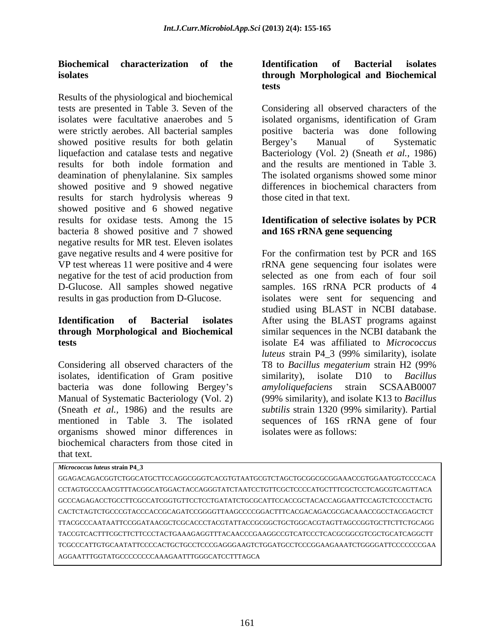Results of the physiological and biochemical tests are presented in Table 3. Seven of the Considering all observed characters of the isolates were facultative anaerobes and 5 isolated organisms, identification of Gram were strictly aerobes. All bacterial samples showed positive results for both gelatin Bergey's Manual of Systematic liquefaction and catalase tests and negative Bacteriology (Vol. 2) (Sneath *et al.,* 1986) results for both indole formation and and the results are mentioned in Table 3. deamination of phenylalanine. Six samples The isolated organisms showed some minor showed positive and 9 showed negative differences in biochemical characters from results for starch hydrolysis whereas 9 showed positive and 6 showed negative results for oxidase tests. Among the 15 bacteria 8 showed positive and 7 showed negative results for MR test. Eleven isolates negative for the test of acid production from selected as one from each of four soil

Considering all observed characters of the T8 to Bacillus megaterium strain H2 (99%) isolates, identification of Gram positive similarity), isolate D10 to *Bacillus* bacteria was done following Bergey's *amyloliquefaciens* strain SCSAAB0007 organisms showed minor differences in biochemical characters from those cited in that text.

#### **Biochemical characterization of the isolates through Morphological and Biochemical Identification of Bacterial isolates tests**

positive bacteria was done following Bergey s Manual of Systematic differences in biochemical characters from those cited in that text.

### **Identification of selective isolates by PCR and 16S rRNA gene sequencing**

gave negative results and 4 were positive for For the confirmation test by PCR and 16S VP test whereas 11 were positive and 4 were rRNA gene sequencing four isolates were D-Glucose. All samples showed negative samples. 16S rRNA PCR products of 4 results in gas production from D-Glucose. isolates were sent for sequencing and **Identification of Bacterial isolates** After using the BLAST programs against **through Morphological and Biochemical**  similar sequences in the NCBI databank the **tests** isolate E4 was affiliated to *Micrococcus*  Manual of Systematic Bacteriology (Vol. 2) (99% similarity), and isolate K13 to *Bacillus*  (Sneath *et al.,* 1986) and the results are *subtilis* strain 1320 (99% similarity). Partial mentioned in Table 3. The isolated sequences of 16S rRNA gene of four selected as one from each of four soil studied using BLAST in NCBI database. *luteus* strain P4\_3 (99% similarity), isolate T8 to *Bacillus megaterium* strain H2 (99% similarity), isolate D10 to *Bacillus amyloliquefaciens* strain isolates were as follows:

| Micrococcus luteus strain P4_3                                                         |
|----------------------------------------------------------------------------------------|
| GGAGACAGACGGTCTGGCATGCTTCCAGGCGGGTCACGTGTAATGCGTCTAGCTGCGGCGCGGAAACCGTGGAATGGTCCCCACA  |
| CCTAGTGCCCAACGTTTACGGCATGGACTACCAGGGTATCTAATCCTGTTCGCTCCCCATGCTTTCGCTCCTCAGCGTCAGTTACA |
| GCCCAGAGACCTGCCTTCGCCATCGGTGTTCCTCCTGATATCTGCGCATTCCACCGCTACACCAGGAATTCCAGTCTCCCCTACTG |
| CACTCTAGTCTGCCCGTACCCACCGCAGATCCGGGGTTAAGCCCCGGACTTTCACGACAGACGGGACAAACCGCCTACGAGCTCT  |
| TTACGCCCAATAATTCCGGATAACGCTCGCACCCTACGTATTACCGCGGCTGCTGGCACGTAGTTAGCCGGTGCTTCTTCTGCAGG |
| TACCGTCACTTTCGCTTCTTCCCTACTGAAAGAGGTTTACAACCCGAAGGCCGTCATCCCTCACGCGGCGTCGCTGCATCAGGCTT |
| TCGCCCATTGTGCAATATTCCCCACTGCTGCCTCCCGAGGGAAGTCTGGATGCCTCCCGGAAGAAATCTGGGGATTCCCCCCCGAA |
| AGGAATTTGGTATGCCCCCCCCAAAGAATTTGGGCATCCTTTAGCA                                         |
|                                                                                        |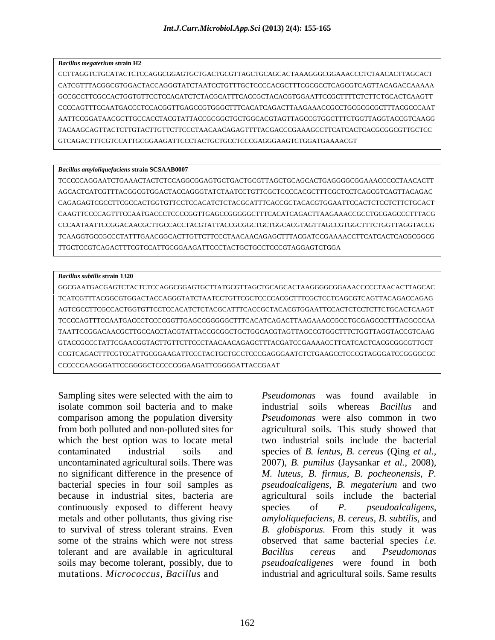#### *Bacillus megaterium* **strain H2**

CCTTAGGTCTGCATACTCTCCAGGCGGAGTGCTGACTGCGTTAGCTGCAGCACTAAAGGGCGGAAACCCTCTAACACTTAGCACT CATCGTTTACGGCGTGGACTACCAGGGTATCTAATCCTGTTTGCTCCCCACGCTTTCGCGCCTCAGCGTCAGTTACAGACCAAAAA GCCGCCTTCGCCACTGGTGTTCCTCCACATCTCTACGCATTTCACCGCTACACGTGGAATTCCGCTTTTCTCTTCTGCACTCAAGTT CCCCAGTTTCCAATGACCCTCCACGGTTGAGCCGTGGGCTTTCACATCAGACTTAAGAAACCGCCTGCGCGCGCTTTACGCCCAAT AATTCCGGATAACGCTTGCCACCTACGTATTACCGCGGCTGCTGGCACGTAGTTAGCCGTGGCTTTCTGGTTAGGTACCGTCAAGG TACAAGCAGTTACTCTTGTACTTGTTCTTCCCTAACAACAGAGTTTTACGACCCGAAAGCCTTCATCACTCACGCGGCGTTGCTCC GTCAGACTTTCGTCCATTGCGGAAGATTCCCTACTGCTGCCTCCCGAGGGAAGTCTGGATGAAAACGT

#### *Bacillus amyloliquefaciens* **strain SCSAAB0007**

TCCCCCAGGAATCTGAAACTACTCTCCAGGCGGAGTGCTGACTGCGTTAGCTGCAGCACTGAGGGGCGGAAACCCCCTAACACTT AGCACTCATCGTTTACGGCGTGGACTACCAGGGTATCTAATCCTGTTCGCTCCCCACGCTTTCGCTCCTCAGCGTCAGTTACAGAC CAGAGAGTCGCCTTCGCCACTGGTGTTCCTCCACATCTCTACGCATTTCACCGCTACACGTGGAATTCCACTCTCCTCTTCTGCACT CAAGTTCCCCAGTTTCCAATGACCCTCCCCGGTTGAGCCGGGGGCTTTCACATCAGACTTAAGAAACCGCCTGCGAGCCCTTTACG CCCAATAATTCCGGACAACGCTTGCCACCTACGTATTACCGCGGCTGCTGGCACGTAGTTAGCCGTGGCTTTCTGGTTAGGTACCG TCAAGGTGCCGCCCTATTTGAACGGCACTTGTTCTTCCCTAACAACAGAGCTTTACGATCCGAAAACCTTCATCACTCACGCGGCG TTGCTCCGTCAGACTTTCGTCCATTGCGGAAGATTCCCTACTGCTGCCTCCCGTAGGAGTCTGGA

#### *Bacillus subtilis* **strain 1320**

GGCGAATGACGAGTCTACTCTCCAGGCGGAGTGCTTATGCGTTAGCTGCAGCACTAAGGGGCGGAAACCCCCTAACACTTAGCAC TCATCGTTTACGGCGTGGACTACCAGGGTATCTAATCCTGTTCGCTCCCCACGCTTTCGCTCCTCAGCGTCAGTTACAGACCAGAG AGTCGCCTTCGCCACTGGTGTTCCTCCACATCTCTACGCATTTCACCGCTACACGTGGAATTCCACTCTCCTCTTCTGCACTCAAGT TCCCCAGTTTCCAATGACCCTCCCCGGTTGAGCCGGGGGCTTTCACATCAGACTTAAGAAACCGCCTGCGAGCCCTTTACGCCCAA TAATTCCGGACAACGCTTGCCACCTACGTATTACCGCGGCTGCTGGCACGTAGTTAGCCGTGGCTTTCTGGTTAGGTACCGTCAAG GTACCGCCCTATTCGAACGGTACTTGTTCTTCCCTAACAACAGAGCTTTACGATCCGAAAACCTTCATCACTCACGCGGCGTTGCT CCGTCAGACTTTCGTCCATTGCGGAAGATTCCCTACTGCTGCCTCCCGAGGGAATCTCTGAAGCCTCCCGTAGGGATCCGGGGCGC CCCCCCAAGGGATTCCGGGGCTCCCCCGGAAGATTCGGGGATTACCGAAT

Sampling sites were selected with the aim to *Pseudomonas* was found available in isolate common soil bacteria and to make comparison among the population diversity *Pseudomonas*were also common in two from both polluted and non-polluted sites for agricultural soils*.* This study showed that which the best option was to locate metal two industrial soils include the bacterial contaminated industrial soils and species of *B. lentus, B. cereus* (Qing *et al.,* uncontaminated agricultural soils. There was 2007), *B. pumilus* (Jaysankar *et al.*, 2008), no significant difference in the presence of 2007)*, B. pumilus* (Jaysankar *et al.,* 2008)*, M. luteus, B. firmus, B. pocheonensis, P.* bacterial species in four soil samples as *pseudoalcaligens, B. megaterium* and two because in industrial sites, bacteria are agricultural soils include the bacterial continuously exposed to different heavy species of P. pseudoalcaligens, metals and other pollutants, thus giving rise *amyloliquefaciens, B. cereus, B. subtilis,* and to survival of stress tolerant strains. Even *B. globisporus.* From this study it was some of the strains which were not stress observed that same bacterial species *i.e.* tolerant and are available in agricultural Bacillus cereus and Pseudomonas soils may become tolerant, possibly, due to *pseudoalcaligenes* were found in both mutations. *Micrococcus, Bacillus* and industrial and agricultural soils. Same results

*Pseudomonas* was found available industrial soils whereas *Bacillus* and species of *P. pseudoalcaligens, Bacillus cereus* and *Pseudomonas*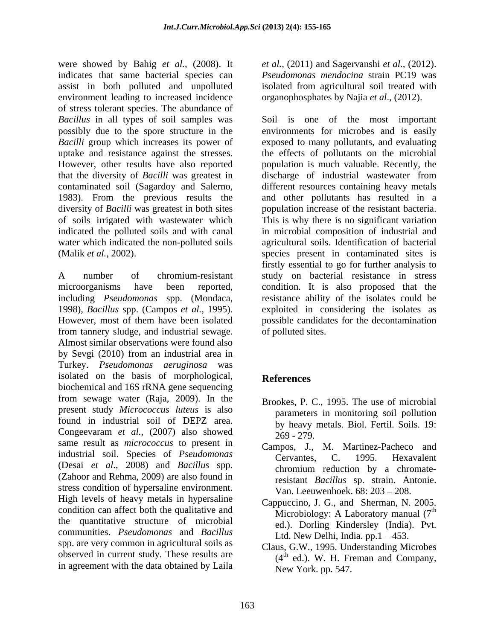were showed by Bahig *et al.,* (2008). It indicates that same bacterial species can *Pseudomonas mendocina* strain PC19 was assist in both polluted and unpolluted environment leading to increased incidence of stress tolerant species. The abundance of 1983). From the previous results the diversity of *Bacilli* was greatest in both sites indicated the polluted soils and with canal water which indicated the non-polluted soils

1998), *Bacillus* spp. (Campos *et al.,* 1995). from tannery sludge, and industrial sewage. Almost similar observations were found also by Sevgi (2010) from an industrial area in Turkey. *Pseudomonas aeruginosa* was isolated on the basis of morphological, biochemical and 16S rRNA gene sequencing from sewage water (Raja, 2009). In the present study *Micrococcus luteus* is also found in industrial soil of DEPZ area. Congeevaram *et al.*, (2007) also showed  $\frac{6}{269}$  - 279. same result as *micrococcus* to present in industrial soil. Species of *Pseudomonas* (Desai *et al*., 2008) and *Bacillus* spp. (Zahoor and Rehma, 2009) are also found in stress condition of hypersaline environment. High levels of heavy metals in hypersaline condition can affect both the qualitative and the quantitative structure of microbial communities. *Pseudomonas* and *Bacillus* spp. are very common in agricultural soils as observed in current study. These results are in agreement with the data obtained by Laila

*et al.,* (2011) and Sagervanshi *et al.,* (2012).isolated from agricultural soil treated with organophosphates by Najia *et al*., (2012).

*Bacillus* in all types of soil samples was Soil is one of the most important possibly due to the spore structure in the environments for microbes and is easily *Bacilli* group which increases its power of exposed to many pollutants, and evaluating uptake and resistance against the stresses. the effects of pollutants on the microbial However, other results have also reported population is much valuable. Recently, the that the diversity of *Bacilli* was greatest in discharge of industrial wastewater from contaminated soil (Sagardoy and Salerno, different resources containing heavy metals of soils irrigated with wastewater which This is why there is no significant variation (Malik *et al.,* 2002). species present in contaminated sites is A number of chromium-resistant study on bacterial resistance in stress microorganisms have been reported, condition. It is also proposed that the including *Pseudomonas* spp. (Mondaca, resistance ability of the isolates could be However, most of them have been isolated possible candidates for the decontamination and other pollutants has resulted in a population increase of the resistant bacteria. in microbial composition of industrial and agricultural soils. Identification of bacterial firstly essential to go for further analysis to exploited in considering the isolates as of polluted sites.

# **References**

- Brookes, P. C., 1995. The use of microbial parameters in monitoring soil pollution by heavy metals. Biol. Fertil. Soils. 19: 269 - 279.
- Campos, J., M. Martinez-Pacheco and Cervantes, C. 1995. Hexavalent chromium reduction by a chromateresistant *Bacillus* sp. strain. Antonie. Van. Leeuwenhoek. 68: 203 – 208.
- Cappuccino, J. G., and Sherman, N. 2005. Microbiology: A Laboratory manual (7<sup>th</sup>) th ed.). Dorling Kindersley (India). Pvt. Ltd. New Delhi, India.  $pp.1 - 453$ .
- Claus, G.W., 1995. Understanding Microbes (4<sup>th</sup> ed.). W. H. Freman and Company, New York. pp. 547.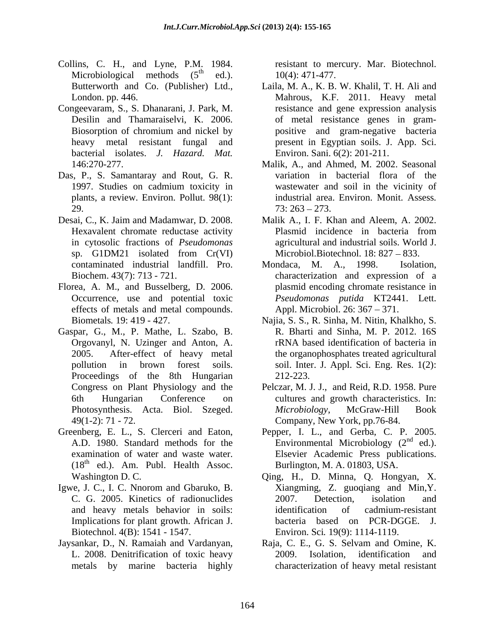- Collins, C. H., and Lyne, P.M. 1984. resistant to mercury. Mar. Biotechnol. Microbiological methods  $(5<sup>th</sup>$  ed.).
- bacterial isolates. *J. Hazard. Mat.*
- plants, a review. Environ. Pollut. 98(1): 29.  $73:263-273.$
- Desai, C., K. Jaim and Madamwar, D. 2008.
- Florea, A. M., and Busselberg, D. 2006. effects of metals and metal compounds.
- Gaspar, G., M., P. Mathe, L. Szabo, B.
- 
- Igwe, J. C., I. C. Nnorom and Gbaruko, B. Biotechnol. 4(B): 1541 - 1547. Environ. Sci. 19(9): 1114-1119.
- 

th ed.). 10(4): 471-477.

- Butterworth and Co. (Publisher) Ltd., Laila, M. A., K. B. W. Khalil, T. H. Ali and London. pp. 446. Mahrous, K.F. 2011. Heavy metal Congeevaram, S., S. Dhanarani, J. Park, M. resistance and gene expression analysis Desilin and Thamaraiselvi, K. 2006. of metal resistance genes in gram-Biosorption of chromium and nickel by bositive and gram-negative bacteria heavy metal resistant fungal and present in Egyptian soils. J. App. Sci. positive and gram-negative bacteria Environ. Sani. 6(2): 201-211.
- 146:270-277. Malik, A., and Ahmed, M. 2002. Seasonal Das, P., S. Samantaray and Rout, G. R. variation in bacterial flora of the 1997. Studies on cadmium toxicity in wastewater and soil in the vicinity of variation in bacterial flora of the wastewater and soil in the vicinity of industrial area. Environ. Monit. Assess*.*  $73: 263 - 273.$ 
	- Hexavalent chromate reductase activity **Plasmid** incidence in bacteria from in cytosolic fractions of *Pseudomonas*  agricultural and industrial soils. World J. sp. G1DM21 isolated from Cr(VI) Microbiol.Biotechnol. 18: 827 – 833. Malik A., I. F. Khan and Aleem, A. 2002. Plasmid incidence in bacteria from Microbiol.Biotechnol.  $18: 827 - 833$ .
	- contaminated industrial landfill. Pro. Biochem. 43(7): 713 - 721. characterization and expression of a Occurrence, use and potential toxic *Pseudomonas putida* KT2441. Lett. Mondaca, M. A., 1998. plasmid encoding chromate resistance in Appl. Microbiol. 26: 367 – 371.
	- Biometals*.* 19: 419 427. Najia, S. S., R. Sinha, M. Nitin, Khalkho, S. Orgovanyl, N. Uzinger and Anton, A. 2005. After-effect of heavy metal pollution in brown forest soils. soil. Inter. J. Appl. Sci. Eng. Res. 1(2):<br>Proceedings of the 8th Hungarian 212-223. R. Bharti and Sinha, M. P. 2012. 16S rRNA based identification of bacteria in the organophosphates treated agricultural soil. Inter. J. Appl. Sci. Eng. Res. 1(2): 212-223.
	- Congress on Plant Physiology and the Pelczar, M. J. J., and Reid, R.D. 1958. Pure 6th Hungarian Conference on cultures and growth characteristics. In: Photosynthesis. Acta. Biol. Szeged. *Microbiology*, McGraw-Hill Book 49(1-2): 71 - 72. Company, New York, pp.76-84. *Microbiology*, McGraw-Hill Book Company, New York, pp.76-84.
- Greenberg, E. L., S. Clerceri and Eaton, Pepper, I. L., and Gerba, C. P. 2005.<br>A.D. 1980. Standard methods for the Environmental Microbiology (2<sup>nd</sup> ed.). examination of water and waste water. Elsevier Academic Press publications.  $(18<sup>th</sup>$  ed.). Am. Publ. Health Assoc. Burlington, M. A. 01803, USA. Pepper, I. L., and Gerba, C. P. 2005. Environmental Microbiology  $(2<sup>nd</sup>$  ed.).  $\overline{d}$   $\overline{d}$ ed.). Burlington, M. A. 01803, USA.
	- Washington D. C. Qing, H., D. Minna, Q. Hongyan, X. C. G. 2005. Kinetics of radionuclides and heavy metals behavior in soils: Implications for plant growth. African J. bacteria based on PCR-DGGE. J. Xiangming, Z. guoqiang and Min,Y. 2007. Detection, isolation and identification of cadmium-resistant bacteria based on PCR-DGGE. J. Environ. Sci*.* 19(9): 1114-1119.
- Jaysankar, D., N. Ramaiah and Vardanyan, L. 2008. Denitrification of toxic heavy metals by marine bacteria highly characterization of heavy metal resistant Raja, C. E., G. S. Selvam and Omine, K. 2009. Isolation, identification and